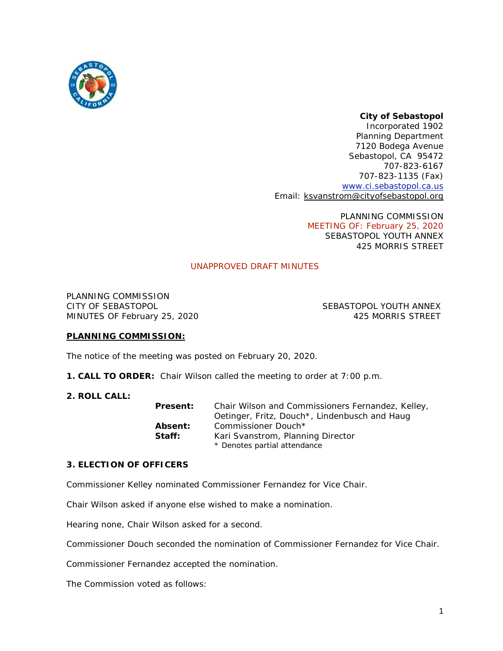

# *City of Sebastopol*

*Incorporated 1902* Planning Department 7120 Bodega Avenue Sebastopol, CA 95472 707-823-6167 707-823-1135 (Fax) [www.ci.sebastopol.ca.us](http://www.ci.sebastopol.ca.us/) Email: [ksvanstrom@cityofsebastopol.org](mailto:ksvanstrom@cityofsebastopol.org)

> PLANNING COMMISSION MEETING OF: February 25, 2020 SEBASTOPOL YOUTH ANNEX 425 MORRIS STREET

## UNAPPROVED DRAFT MINUTES

PLANNING COMMISSION CITY OF SEBASTOPOL SEBASTOPOL YOUTH ANNEX MINUTES OF February 25, 2020 and the state of the 425 MORRIS STREET

### **PLANNING COMMISSION:**

The notice of the meeting was posted on February 20, 2020.

- **1. CALL TO ORDER:** Chair Wilson called the meeting to order at 7:00 p.m.
- **2. ROLL CALL:**

| Present:       | Chair Wilson and Commissioners Fernandez, Kelley, |
|----------------|---------------------------------------------------|
|                | Oetinger, Fritz, Douch*, Lindenbusch and Haug     |
| <b>Absent:</b> | Commissioner Douch*                               |
| Staff:         | Kari Svanstrom, Planning Director                 |
|                | * Denotes partial attendance                      |

#### **3. ELECTION OF OFFICERS**

Commissioner Kelley nominated Commissioner Fernandez for Vice Chair.

Chair Wilson asked if anyone else wished to make a nomination.

Hearing none, Chair Wilson asked for a second.

Commissioner Douch seconded the nomination of Commissioner Fernandez for Vice Chair.

Commissioner Fernandez accepted the nomination.

The Commission voted as follows: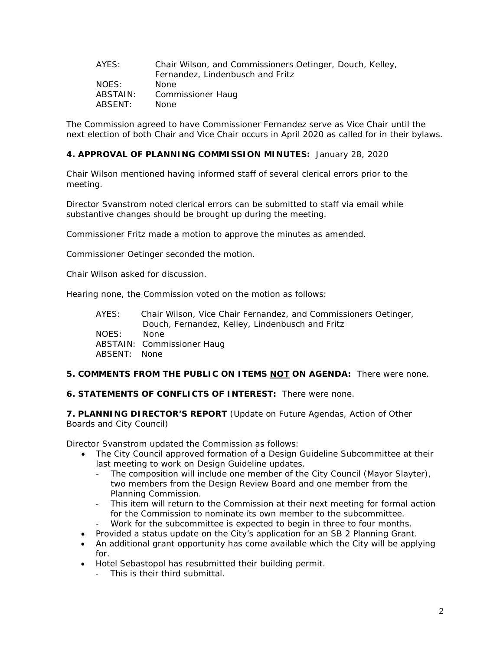| AYES:    | Chair Wilson, and Commissioners Oetinger, Douch, Kelley, |
|----------|----------------------------------------------------------|
|          | Fernandez, Lindenbusch and Fritz                         |
| NOES:    | None.                                                    |
| ABSTAIN: | Commissioner Haug                                        |
| ABSENT:  | <b>None</b>                                              |

The Commission agreed to have Commissioner Fernandez serve as Vice Chair until the next election of both Chair and Vice Chair occurs in April 2020 as called for in their bylaws.

### **4. APPROVAL OF PLANNING COMMISSION MINUTES:** January 28, 2020

Chair Wilson mentioned having informed staff of several clerical errors prior to the meeting.

Director Svanstrom noted clerical errors can be submitted to staff via email while substantive changes should be brought up during the meeting.

Commissioner Fritz made a motion to approve the minutes as amended.

Commissioner Oetinger seconded the motion.

Chair Wilson asked for discussion.

Hearing none, the Commission voted on the motion as follows:

| AYES:        | Chair Wilson, Vice Chair Fernandez, and Commissioners Oetinger, |
|--------------|-----------------------------------------------------------------|
|              | Douch, Fernandez, Kelley, Lindenbusch and Fritz                 |
| NOES:        | None.                                                           |
|              | ABSTAIN: Commissioner Haug                                      |
| ABSENT: None |                                                                 |

#### **5. COMMENTS FROM THE PUBLIC ON ITEMS NOT ON AGENDA:** There were none.

#### **6. STATEMENTS OF CONFLICTS OF INTEREST:** There were none.

**7. PLANNING DIRECTOR'S REPORT** (Update on Future Agendas, Action of Other Boards and City Council)

Director Svanstrom updated the Commission as follows:

- The City Council approved formation of a Design Guideline Subcommittee at their last meeting to work on Design Guideline updates.
	- The composition will include one member of the City Council (Mayor Slayter), two members from the Design Review Board and one member from the Planning Commission.
	- This item will return to the Commission at their next meeting for formal action for the Commission to nominate its own member to the subcommittee.
	- Work for the subcommittee is expected to begin in three to four months.
- Provided a status update on the City's application for an SB 2 Planning Grant.
- An additional grant opportunity has come available which the City will be applying for.
- Hotel Sebastopol has resubmitted their building permit.
	- This is their third submittal.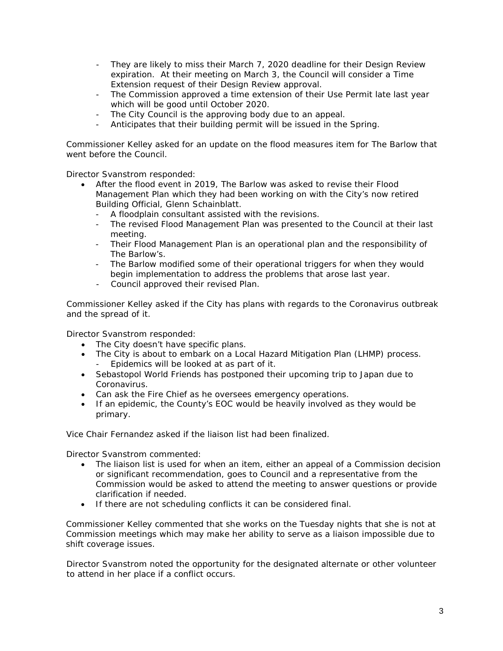- They are likely to miss their March 7, 2020 deadline for their Design Review expiration. At their meeting on March 3, the Council will consider a Time Extension request of their Design Review approval.
- The Commission approved a time extension of their Use Permit late last year which will be good until October 2020.
- The City Council is the approving body due to an appeal.
- Anticipates that their building permit will be issued in the Spring.

Commissioner Kelley asked for an update on the flood measures item for The Barlow that went before the Council.

Director Svanstrom responded:

- After the flood event in 2019, The Barlow was asked to revise their Flood Management Plan which they had been working on with the City's now retired Building Official, Glenn Schainblatt.
	- A floodplain consultant assisted with the revisions.
	- The revised Flood Management Plan was presented to the Council at their last meeting.
	- Their Flood Management Plan is an operational plan and the responsibility of The Barlow's.
	- The Barlow modified some of their operational triggers for when they would begin implementation to address the problems that arose last year.
	- Council approved their revised Plan.

Commissioner Kelley asked if the City has plans with regards to the Coronavirus outbreak and the spread of it.

Director Svanstrom responded:

- The City doesn't have specific plans.
- The City is about to embark on a Local Hazard Mitigation Plan (LHMP) process. Epidemics will be looked at as part of it.
- Sebastopol World Friends has postponed their upcoming trip to Japan due to Coronavirus.
- Can ask the Fire Chief as he oversees emergency operations.
- If an epidemic, the County's EOC would be heavily involved as they would be primary.

Vice Chair Fernandez asked if the liaison list had been finalized.

Director Svanstrom commented:

- The liaison list is used for when an item, either an appeal of a Commission decision or significant recommendation, goes to Council and a representative from the Commission would be asked to attend the meeting to answer questions or provide clarification if needed.
- If there are not scheduling conflicts it can be considered final.

Commissioner Kelley commented that she works on the Tuesday nights that she is not at Commission meetings which may make her ability to serve as a liaison impossible due to shift coverage issues.

Director Svanstrom noted the opportunity for the designated alternate or other volunteer to attend in her place if a conflict occurs.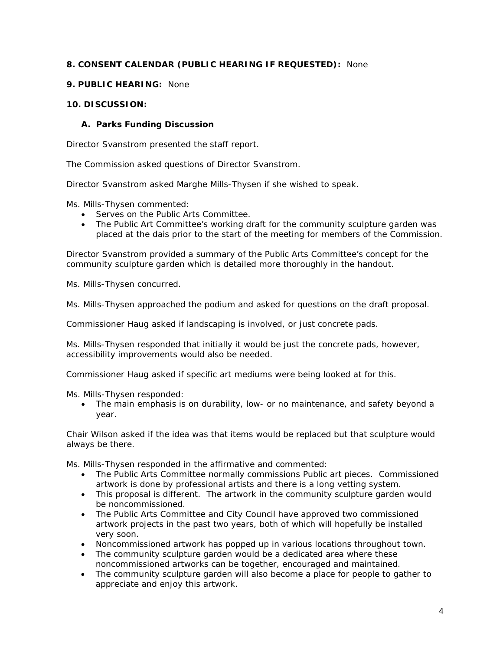# **8. CONSENT CALENDAR (PUBLIC HEARING IF REQUESTED):** None

### **9. PUBLIC HEARING:** None

## **10. DISCUSSION:**

# **A. Parks Funding Discussion**

Director Svanstrom presented the staff report.

The Commission asked questions of Director Svanstrom.

Director Svanstrom asked Marghe Mills-Thysen if she wished to speak.

Ms. Mills-Thysen commented:

- Serves on the Public Arts Committee.
- The Public Art Committee's working draft for the community sculpture garden was placed at the dais prior to the start of the meeting for members of the Commission.

Director Svanstrom provided a summary of the Public Arts Committee's concept for the community sculpture garden which is detailed more thoroughly in the handout.

Ms. Mills-Thysen concurred.

Ms. Mills-Thysen approached the podium and asked for questions on the draft proposal.

Commissioner Haug asked if landscaping is involved, or just concrete pads.

Ms. Mills-Thysen responded that initially it would be just the concrete pads, however, accessibility improvements would also be needed.

Commissioner Haug asked if specific art mediums were being looked at for this.

Ms. Mills-Thysen responded:

• The main emphasis is on durability, low- or no maintenance, and safety beyond a year.

Chair Wilson asked if the idea was that items would be replaced but that sculpture would always be there.

Ms. Mills-Thysen responded in the affirmative and commented:

- The Public Arts Committee normally commissions Public art pieces. Commissioned artwork is done by professional artists and there is a long vetting system.
- This proposal is different. The artwork in the community sculpture garden would be noncommissioned.
- The Public Arts Committee and City Council have approved two commissioned artwork projects in the past two years, both of which will hopefully be installed very soon.
- Noncommissioned artwork has popped up in various locations throughout town.
- The community sculpture garden would be a dedicated area where these noncommissioned artworks can be together, encouraged and maintained.
- The community sculpture garden will also become a place for people to gather to appreciate and enjoy this artwork.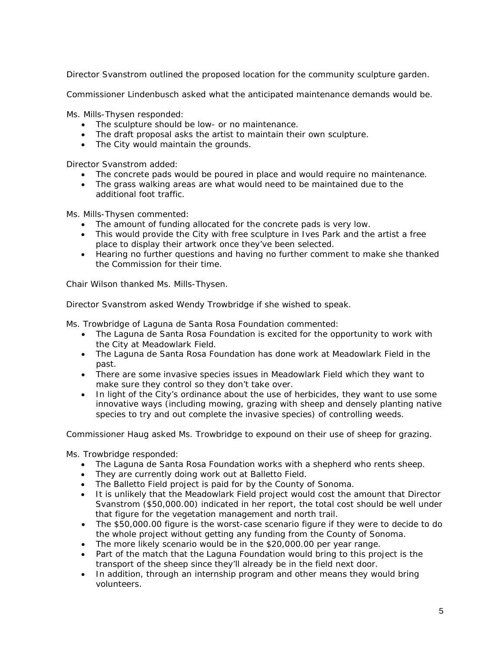Director Svanstrom outlined the proposed location for the community sculpture garden.

Commissioner Lindenbusch asked what the anticipated maintenance demands would be.

Ms. Mills-Thysen responded:

- The sculpture should be low- or no maintenance.
- The draft proposal asks the artist to maintain their own sculpture.
- The City would maintain the grounds.

Director Svanstrom added:

- The concrete pads would be poured in place and would require no maintenance.
- The grass walking areas are what would need to be maintained due to the additional foot traffic.

Ms. Mills-Thysen commented:

- The amount of funding allocated for the concrete pads is very low.
- This would provide the City with free sculpture in Ives Park and the artist a free place to display their artwork once they've been selected.
- Hearing no further questions and having no further comment to make she thanked the Commission for their time.

Chair Wilson thanked Ms. Mills-Thysen.

Director Svanstrom asked Wendy Trowbridge if she wished to speak.

Ms. Trowbridge of Laguna de Santa Rosa Foundation commented:

- The Laguna de Santa Rosa Foundation is excited for the opportunity to work with the City at Meadowlark Field.
- The Laguna de Santa Rosa Foundation has done work at Meadowlark Field in the past.
- There are some invasive species issues in Meadowlark Field which they want to make sure they control so they don't take over.
- In light of the City's ordinance about the use of herbicides, they want to use some innovative ways (including mowing, grazing with sheep and densely planting native species to try and out complete the invasive species) of controlling weeds.

Commissioner Haug asked Ms. Trowbridge to expound on their use of sheep for grazing.

Ms. Trowbridge responded:

- The Laguna de Santa Rosa Foundation works with a shepherd who rents sheep.
- They are currently doing work out at Balletto Field.
- The Balletto Field project is paid for by the County of Sonoma.
- It is unlikely that the Meadowlark Field project would cost the amount that Director Svanstrom (\$50,000.00) indicated in her report, the total cost should be well under that figure for the vegetation management and north trail.
- The \$50,000.00 figure is the worst-case scenario figure if they were to decide to do the whole project without getting any funding from the County of Sonoma.
- The more likely scenario would be in the \$20,000.00 per year range.
- Part of the match that the Laguna Foundation would bring to this project is the transport of the sheep since they'll already be in the field next door.
- In addition, through an internship program and other means they would bring volunteers.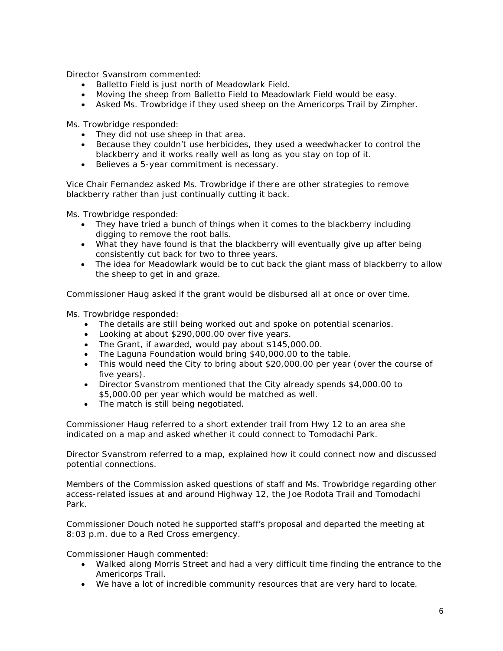Director Svanstrom commented:

- Balletto Field is just north of Meadowlark Field.
- Moving the sheep from Balletto Field to Meadowlark Field would be easy.
- Asked Ms. Trowbridge if they used sheep on the Americorps Trail by Zimpher.

Ms. Trowbridge responded:

- They did not use sheep in that area.
- Because they couldn't use herbicides, they used a weedwhacker to control the blackberry and it works really well as long as you stay on top of it.
- Believes a 5-year commitment is necessary.

Vice Chair Fernandez asked Ms. Trowbridge if there are other strategies to remove blackberry rather than just continually cutting it back.

Ms. Trowbridge responded:

- They have tried a bunch of things when it comes to the blackberry including digging to remove the root balls.
- What they have found is that the blackberry will eventually give up after being consistently cut back for two to three years.
- The idea for Meadowlark would be to cut back the giant mass of blackberry to allow the sheep to get in and graze.

Commissioner Haug asked if the grant would be disbursed all at once or over time.

Ms. Trowbridge responded:

- The details are still being worked out and spoke on potential scenarios.
- Looking at about \$290,000.00 over five years.
- The Grant, if awarded, would pay about \$145,000.00.
- The Laguna Foundation would bring \$40,000.00 to the table.
- This would need the City to bring about \$20,000.00 per year (over the course of five years).
- Director Svanstrom mentioned that the City already spends \$4,000.00 to \$5,000.00 per year which would be matched as well.
- The match is still being negotiated.

Commissioner Haug referred to a short extender trail from Hwy 12 to an area she indicated on a map and asked whether it could connect to Tomodachi Park.

Director Svanstrom referred to a map, explained how it could connect now and discussed potential connections.

Members of the Commission asked questions of staff and Ms. Trowbridge regarding other access-related issues at and around Highway 12, the Joe Rodota Trail and Tomodachi Park.

Commissioner Douch noted he supported staff's proposal and departed the meeting at 8:03 p.m. due to a Red Cross emergency.

Commissioner Haugh commented:

- Walked along Morris Street and had a very difficult time finding the entrance to the Americorps Trail.
- We have a lot of incredible community resources that are very hard to locate.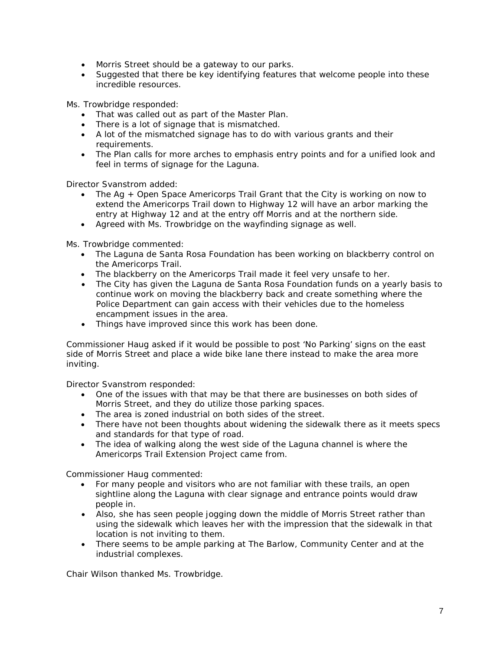- Morris Street should be a gateway to our parks.
- Suggested that there be key identifying features that welcome people into these incredible resources.

Ms. Trowbridge responded:

- That was called out as part of the Master Plan.
- There is a lot of signage that is mismatched.
- A lot of the mismatched signage has to do with various grants and their requirements.
- The Plan calls for more arches to emphasis entry points and for a unified look and feel in terms of signage for the Laguna.

Director Svanstrom added:

- The Ag + Open Space Americorps Trail Grant that the City is working on now to extend the Americorps Trail down to Highway 12 will have an arbor marking the entry at Highway 12 and at the entry off Morris and at the northern side.
- Agreed with Ms. Trowbridge on the wayfinding signage as well.

Ms. Trowbridge commented:

- The Laguna de Santa Rosa Foundation has been working on blackberry control on the Americorps Trail.
- The blackberry on the Americorps Trail made it feel very unsafe to her.
- The City has given the Laguna de Santa Rosa Foundation funds on a yearly basis to continue work on moving the blackberry back and create something where the Police Department can gain access with their vehicles due to the homeless encampment issues in the area.
- Things have improved since this work has been done.

Commissioner Haug asked if it would be possible to post 'No Parking' signs on the east side of Morris Street and place a wide bike lane there instead to make the area more inviting.

Director Svanstrom responded:

- One of the issues with that may be that there are businesses on both sides of Morris Street, and they do utilize those parking spaces.
- The area is zoned industrial on both sides of the street.
- There have not been thoughts about widening the sidewalk there as it meets specs and standards for that type of road.
- The idea of walking along the west side of the Laguna channel is where the Americorps Trail Extension Project came from.

Commissioner Haug commented:

- For many people and visitors who are not familiar with these trails, an open sightline along the Laguna with clear signage and entrance points would draw people in.
- Also, she has seen people jogging down the middle of Morris Street rather than using the sidewalk which leaves her with the impression that the sidewalk in that location is not inviting to them.
- There seems to be ample parking at The Barlow, Community Center and at the industrial complexes.

Chair Wilson thanked Ms. Trowbridge.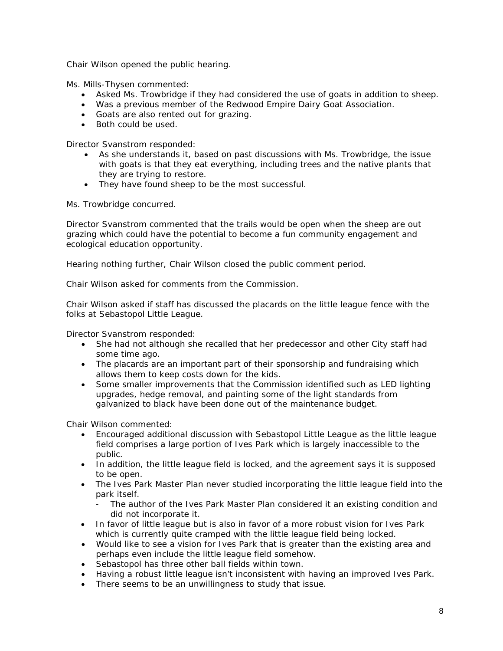Chair Wilson opened the public hearing.

Ms. Mills-Thysen commented:

- Asked Ms. Trowbridge if they had considered the use of goats in addition to sheep.
- Was a previous member of the Redwood Empire Dairy Goat Association.
- Goats are also rented out for grazing.
- Both could be used.

Director Svanstrom responded:

- As she understands it, based on past discussions with Ms. Trowbridge, the issue with goats is that they eat everything, including trees and the native plants that they are trying to restore.
- They have found sheep to be the most successful.

Ms. Trowbridge concurred.

Director Svanstrom commented that the trails would be open when the sheep are out grazing which could have the potential to become a fun community engagement and ecological education opportunity.

Hearing nothing further, Chair Wilson closed the public comment period.

Chair Wilson asked for comments from the Commission.

Chair Wilson asked if staff has discussed the placards on the little league fence with the folks at Sebastopol Little League.

Director Svanstrom responded:

- She had not although she recalled that her predecessor and other City staff had some time ago.
- The placards are an important part of their sponsorship and fundraising which allows them to keep costs down for the kids.
- Some smaller improvements that the Commission identified such as LED lighting upgrades, hedge removal, and painting some of the light standards from galvanized to black have been done out of the maintenance budget.

Chair Wilson commented:

- Encouraged additional discussion with Sebastopol Little League as the little league field comprises a large portion of Ives Park which is largely inaccessible to the public.
- In addition, the little league field is locked, and the agreement says it is supposed to be open.
- The Ives Park Master Plan never studied incorporating the little league field into the park itself.
	- The author of the Ives Park Master Plan considered it an existing condition and did not incorporate it.
- In favor of little league but is also in favor of a more robust vision for Ives Park which is currently quite cramped with the little league field being locked.
- Would like to see a vision for Ives Park that is greater than the existing area and perhaps even include the little league field somehow.
- Sebastopol has three other ball fields within town.
- Having a robust little league isn't inconsistent with having an improved Ives Park.
- There seems to be an unwillingness to study that issue.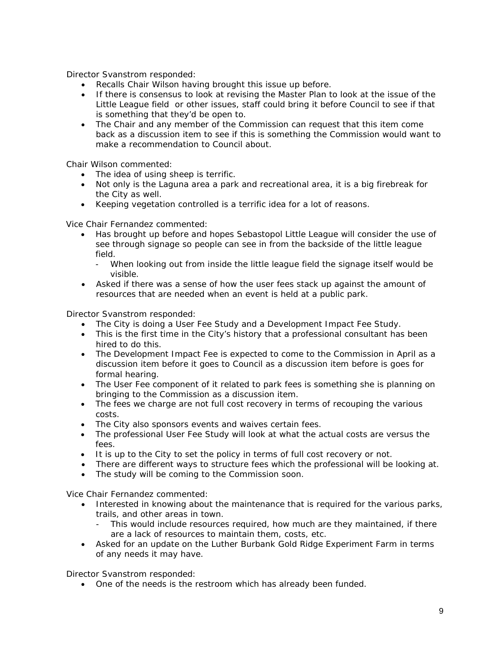Director Svanstrom responded:

- Recalls Chair Wilson having brought this issue up before.
- If there is consensus to look at revising the Master Plan to look at the issue of the Little League field or other issues, staff could bring it before Council to see if that is something that they'd be open to.
- The Chair and any member of the Commission can request that this item come back as a discussion item to see if this is something the Commission would want to make a recommendation to Council about.

Chair Wilson commented:

- The idea of using sheep is terrific.
- Not only is the Laguna area a park and recreational area, it is a big firebreak for the City as well.
- Keeping vegetation controlled is a terrific idea for a lot of reasons.

Vice Chair Fernandez commented:

- Has brought up before and hopes Sebastopol Little League will consider the use of see through signage so people can see in from the backside of the little league field.
	- When looking out from inside the little league field the signage itself would be visible.
- Asked if there was a sense of how the user fees stack up against the amount of resources that are needed when an event is held at a public park.

Director Svanstrom responded:

- The City is doing a User Fee Study and a Development Impact Fee Study.
- This is the first time in the City's history that a professional consultant has been hired to do this.
- The Development Impact Fee is expected to come to the Commission in April as a discussion item before it goes to Council as a discussion item before is goes for formal hearing.
- The User Fee component of it related to park fees is something she is planning on bringing to the Commission as a discussion item.
- The fees we charge are not full cost recovery in terms of recouping the various costs.
- The City also sponsors events and waives certain fees.
- The professional User Fee Study will look at what the actual costs are versus the fees.
- It is up to the City to set the policy in terms of full cost recovery or not.
- There are different ways to structure fees which the professional will be looking at.
- The study will be coming to the Commission soon.

Vice Chair Fernandez commented:

- Interested in knowing about the maintenance that is required for the various parks, trails, and other areas in town.
	- This would include resources required, how much are they maintained, if there are a lack of resources to maintain them, costs, etc.
- Asked for an update on the Luther Burbank Gold Ridge Experiment Farm in terms of any needs it may have.

Director Svanstrom responded:

• One of the needs is the restroom which has already been funded.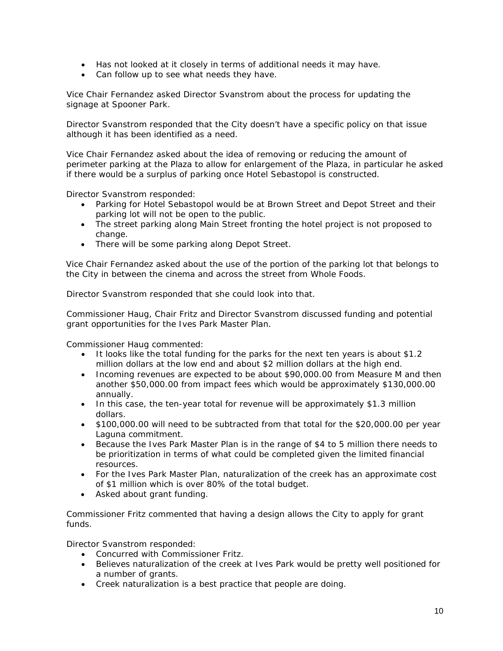- Has not looked at it closely in terms of additional needs it may have.
- Can follow up to see what needs they have.

Vice Chair Fernandez asked Director Svanstrom about the process for updating the signage at Spooner Park.

Director Svanstrom responded that the City doesn't have a specific policy on that issue although it has been identified as a need.

Vice Chair Fernandez asked about the idea of removing or reducing the amount of perimeter parking at the Plaza to allow for enlargement of the Plaza, in particular he asked if there would be a surplus of parking once Hotel Sebastopol is constructed.

Director Svanstrom responded:

- Parking for Hotel Sebastopol would be at Brown Street and Depot Street and their parking lot will not be open to the public.
- The street parking along Main Street fronting the hotel project is not proposed to change.
- There will be some parking along Depot Street.

Vice Chair Fernandez asked about the use of the portion of the parking lot that belongs to the City in between the cinema and across the street from Whole Foods.

Director Svanstrom responded that she could look into that.

Commissioner Haug, Chair Fritz and Director Svanstrom discussed funding and potential grant opportunities for the Ives Park Master Plan.

Commissioner Haug commented:

- It looks like the total funding for the parks for the next ten years is about \$1.2 million dollars at the low end and about \$2 million dollars at the high end.
- Incoming revenues are expected to be about \$90,000.00 from Measure M and then another \$50,000.00 from impact fees which would be approximately \$130,000.00 annually.
- In this case, the ten-year total for revenue will be approximately \$1.3 million dollars.
- \$100,000.00 will need to be subtracted from that total for the \$20,000.00 per year Laguna commitment.
- Because the Ives Park Master Plan is in the range of \$4 to 5 million there needs to be prioritization in terms of what could be completed given the limited financial resources.
- For the Ives Park Master Plan, naturalization of the creek has an approximate cost of \$1 million which is over 80% of the total budget.
- Asked about grant funding.

Commissioner Fritz commented that having a design allows the City to apply for grant funds.

Director Svanstrom responded:

- Concurred with Commissioner Fritz.
- Believes naturalization of the creek at Ives Park would be pretty well positioned for a number of grants.
- Creek naturalization is a best practice that people are doing.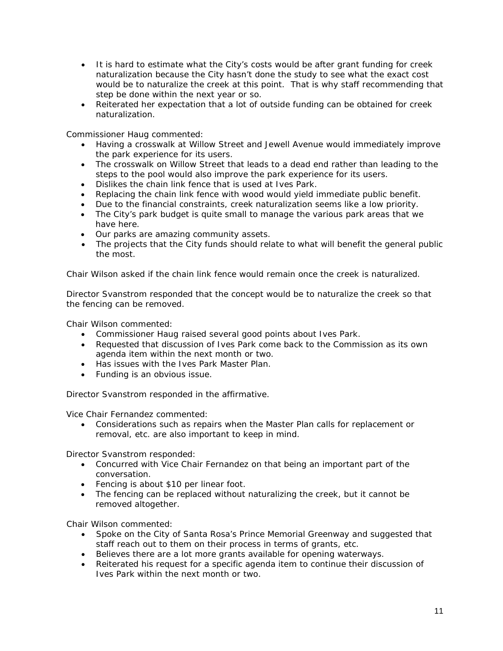- It is hard to estimate what the City's costs would be after grant funding for creek naturalization because the City hasn't done the study to see what the exact cost would be to naturalize the creek at this point. That is why staff recommending that step be done within the next year or so.
- Reiterated her expectation that a lot of outside funding can be obtained for creek naturalization.

Commissioner Haug commented:

- Having a crosswalk at Willow Street and Jewell Avenue would immediately improve the park experience for its users.
- The crosswalk on Willow Street that leads to a dead end rather than leading to the steps to the pool would also improve the park experience for its users.
- Dislikes the chain link fence that is used at Ives Park.
- Replacing the chain link fence with wood would yield immediate public benefit.
- Due to the financial constraints, creek naturalization seems like a low priority.
- The City's park budget is quite small to manage the various park areas that we have here.
- Our parks are amazing community assets.
- The projects that the City funds should relate to what will benefit the general public the most.

Chair Wilson asked if the chain link fence would remain once the creek is naturalized.

Director Svanstrom responded that the concept would be to naturalize the creek so that the fencing can be removed.

Chair Wilson commented:

- Commissioner Haug raised several good points about Ives Park.
- Requested that discussion of Ives Park come back to the Commission as its own agenda item within the next month or two.
- Has issues with the Ives Park Master Plan.
- Funding is an obvious issue.

Director Svanstrom responded in the affirmative.

Vice Chair Fernandez commented:

• Considerations such as repairs when the Master Plan calls for replacement or removal, etc. are also important to keep in mind.

Director Svanstrom responded:

- Concurred with Vice Chair Fernandez on that being an important part of the conversation.
- Fencing is about \$10 per linear foot.
- The fencing can be replaced without naturalizing the creek, but it cannot be removed altogether.

Chair Wilson commented:

- Spoke on the City of Santa Rosa's Prince Memorial Greenway and suggested that staff reach out to them on their process in terms of grants, etc.
- Believes there are a lot more grants available for opening waterways.
- Reiterated his request for a specific agenda item to continue their discussion of Ives Park within the next month or two.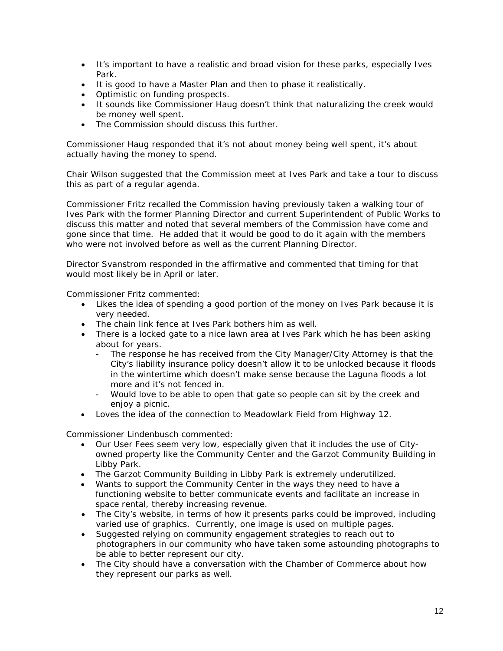- It's important to have a realistic and broad vision for these parks, especially Ives Park.
- It is good to have a Master Plan and then to phase it realistically.
- Optimistic on funding prospects.
- It sounds like Commissioner Haug doesn't think that naturalizing the creek would be money well spent.
- The Commission should discuss this further.

Commissioner Haug responded that it's not about money being well spent, it's about actually having the money to spend.

Chair Wilson suggested that the Commission meet at Ives Park and take a tour to discuss this as part of a regular agenda.

Commissioner Fritz recalled the Commission having previously taken a walking tour of Ives Park with the former Planning Director and current Superintendent of Public Works to discuss this matter and noted that several members of the Commission have come and gone since that time. He added that it would be good to do it again with the members who were not involved before as well as the current Planning Director.

Director Svanstrom responded in the affirmative and commented that timing for that would most likely be in April or later.

Commissioner Fritz commented:

- Likes the idea of spending a good portion of the money on Ives Park because it is very needed.
- The chain link fence at Ives Park bothers him as well.
- There is a locked gate to a nice lawn area at Ives Park which he has been asking about for years.
	- The response he has received from the City Manager/City Attorney is that the City's liability insurance policy doesn't allow it to be unlocked because it floods in the wintertime which doesn't make sense because the Laguna floods a lot more and it's not fenced in.
	- Would love to be able to open that gate so people can sit by the creek and enjoy a picnic.
- Loves the idea of the connection to Meadowlark Field from Highway 12.

Commissioner Lindenbusch commented:

- Our User Fees seem very low, especially given that it includes the use of Cityowned property like the Community Center and the Garzot Community Building in Libby Park.
- The Garzot Community Building in Libby Park is extremely underutilized.
- Wants to support the Community Center in the ways they need to have a functioning website to better communicate events and facilitate an increase in space rental, thereby increasing revenue.
- The City's website, in terms of how it presents parks could be improved, including varied use of graphics. Currently, one image is used on multiple pages.
- Suggested relying on community engagement strategies to reach out to photographers in our community who have taken some astounding photographs to be able to better represent our city.
- The City should have a conversation with the Chamber of Commerce about how they represent our parks as well.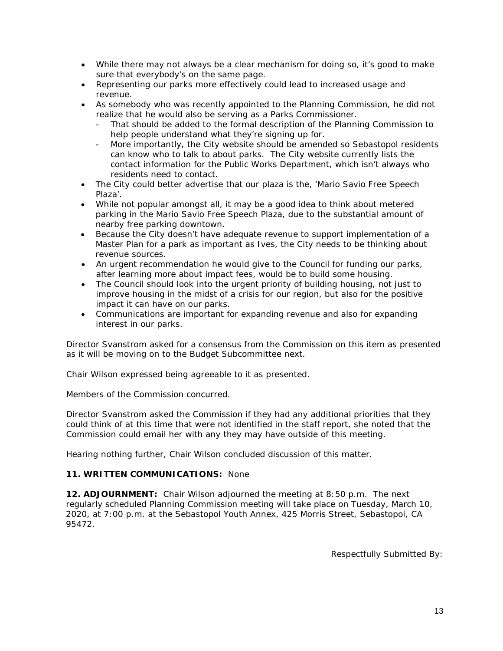- While there may not always be a clear mechanism for doing so, it's good to make sure that everybody's on the same page.
- Representing our parks more effectively could lead to increased usage and revenue.
- As somebody who was recently appointed to the Planning Commission, he did not realize that he would also be serving as a Parks Commissioner.
	- That should be added to the formal description of the Planning Commission to help people understand what they're signing up for.
	- More importantly, the City website should be amended so Sebastopol residents can know who to talk to about parks. The City website currently lists the contact information for the Public Works Department, which isn't always who residents need to contact.
- The City could better advertise that our plaza is the, 'Mario Savio Free Speech Plaza'.
- While not popular amongst all, it may be a good idea to think about metered parking in the Mario Savio Free Speech Plaza, due to the substantial amount of nearby free parking downtown.
- Because the City doesn't have adequate revenue to support implementation of a Master Plan for a park as important as Ives, the City needs to be thinking about revenue sources.
- An urgent recommendation he would give to the Council for funding our parks, after learning more about impact fees, would be to build some housing.
- The Council should look into the urgent priority of building housing, not just to improve housing in the midst of a crisis for our region, but also for the positive impact it can have on our parks.
- Communications are important for expanding revenue and also for expanding interest in our parks.

Director Svanstrom asked for a consensus from the Commission on this item as presented as it will be moving on to the Budget Subcommittee next.

Chair Wilson expressed being agreeable to it as presented.

Members of the Commission concurred.

Director Svanstrom asked the Commission if they had any additional priorities that they could think of at this time that were not identified in the staff report, she noted that the Commission could email her with any they may have outside of this meeting.

Hearing nothing further, Chair Wilson concluded discussion of this matter.

### **11. WRITTEN COMMUNICATIONS:** None

**12. ADJOURNMENT:** Chair Wilson adjourned the meeting at 8:50 p.m. The next regularly scheduled Planning Commission meeting will take place on Tuesday, March 10, 2020, at 7:00 p.m. at the Sebastopol Youth Annex, 425 Morris Street, Sebastopol, CA 95472.

Respectfully Submitted By: